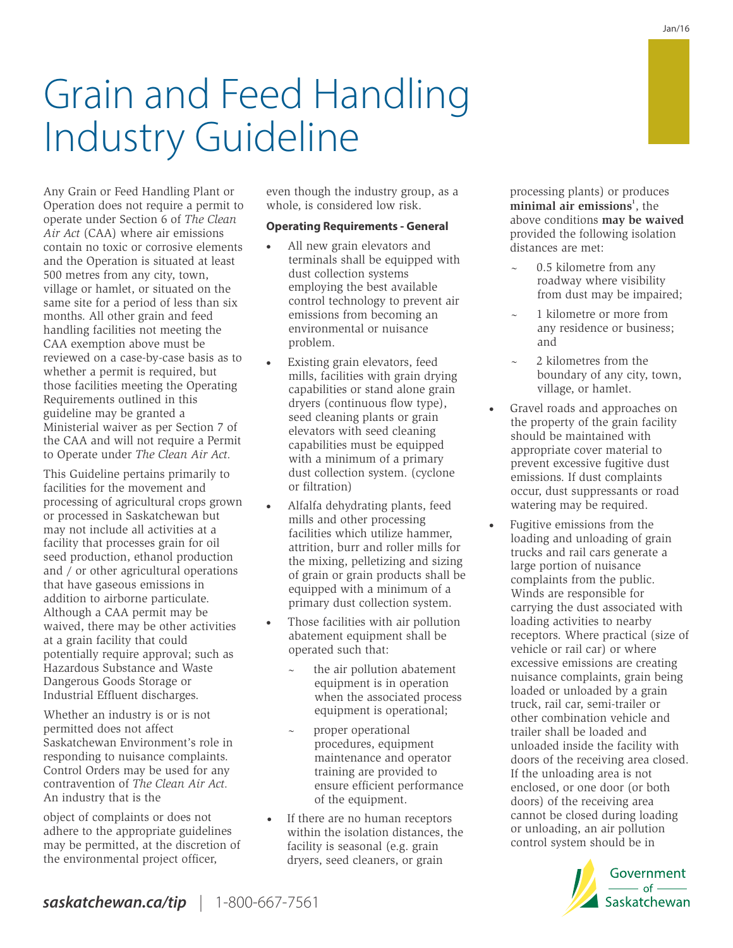# Grain and Feed Handling Industry Guideline

Any Grain or Feed Handling Plant or Operation does not require a permit to operate under Section 6 of *The Clean Air Act* (CAA) where air emissions contain no toxic or corrosive elements and the Operation is situated at least 500 metres from any city, town, village or hamlet, or situated on the same site for a period of less than six months. All other grain and feed handling facilities not meeting the CAA exemption above must be reviewed on a case-by-case basis as to whether a permit is required, but those facilities meeting the Operating Requirements outlined in this guideline may be granted a Ministerial waiver as per Section 7 of the CAA and will not require a Permit to Operate under *The Clean Air Act.*

This Guideline pertains primarily to facilities for the movement and processing of agricultural crops grown or processed in Saskatchewan but may not include all activities at a facility that processes grain for oil seed production, ethanol production and / or other agricultural operations that have gaseous emissions in addition to airborne particulate. Although a CAA permit may be waived, there may be other activities at a grain facility that could potentially require approval; such as Hazardous Substance and Waste Dangerous Goods Storage or Industrial Effluent discharges.

Whether an industry is or is not permitted does not affect Saskatchewan Environment's role in responding to nuisance complaints. Control Orders may be used for any contravention of *The Clean Air Act.* An industry that is the

object of complaints or does not adhere to the appropriate guidelines may be permitted, at the discretion of the environmental project officer,

even though the industry group, as a whole, is considered low risk.

### **Operating Requirements - General**

- All new grain elevators and terminals shall be equipped with dust collection systems employing the best available control technology to prevent air emissions from becoming an environmental or nuisance problem.
- Existing grain elevators, feed mills, facilities with grain drying capabilities or stand alone grain dryers (continuous flow type), seed cleaning plants or grain elevators with seed cleaning capabilities must be equipped with a minimum of a primary dust collection system. (cyclone or filtration)
- · Alfalfa dehydrating plants, feed mills and other processing facilities which utilize hammer, attrition, burr and roller mills for the mixing, pelletizing and sizing of grain or grain products shall be equipped with a minimum of a primary dust collection system.
- Those facilities with air pollution abatement equipment shall be operated such that:
	- the air pollution abatement equipment is in operation when the associated process equipment is operational;
	- proper operational procedures, equipment maintenance and operator training are provided to ensure efficient performance of the equipment.
- If there are no human receptors within the isolation distances, the facility is seasonal (e.g. grain dryers, seed cleaners, or grain

processing plants) or produces **minimal air emissions**<sup>1</sup>, the above conditions **may be waived** provided the following isolation distances are met:

- 0.5 kilometre from any roadway where visibility from dust may be impaired;
- ~ 1 kilometre or more from any residence or business; and
- ~ 2 kilometres from the boundary of any city, town, village, or hamlet.
- Gravel roads and approaches on the property of the grain facility should be maintained with appropriate cover material to prevent excessive fugitive dust emissions. If dust complaints occur, dust suppressants or road watering may be required.
- Fugitive emissions from the loading and unloading of grain trucks and rail cars generate a large portion of nuisance complaints from the public. Winds are responsible for carrying the dust associated with loading activities to nearby receptors. Where practical (size of vehicle or rail car) or where excessive emissions are creating nuisance complaints, grain being loaded or unloaded by a grain truck, rail car, semi-trailer or other combination vehicle and trailer shall be loaded and unloaded inside the facility with doors of the receiving area closed. If the unloading area is not enclosed, or one door (or both doors) of the receiving area cannot be closed during loading or unloading, an air pollution control system should be in